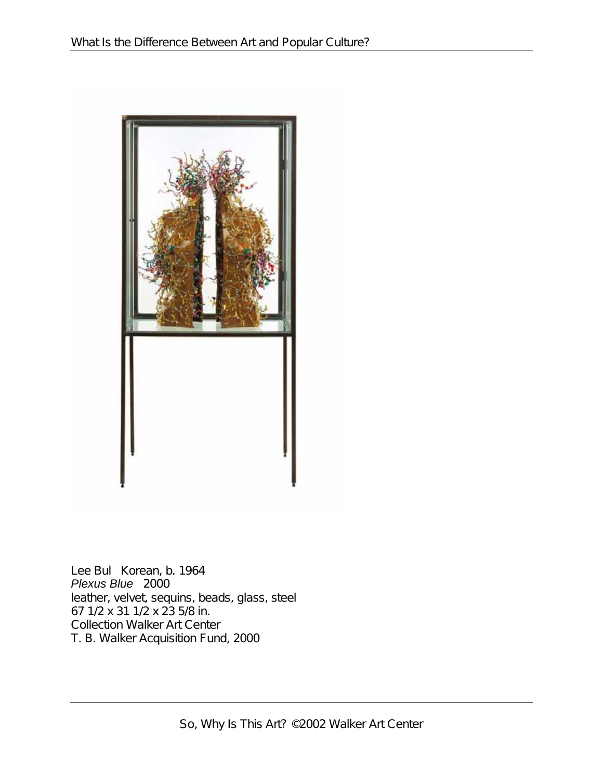

Lee Bul Korean, b. 1964 *Plexus Blue* 2000 leather, velvet, sequins, beads, glass, steel 67 1/2 x 31 1/2 x 23 5/8 in. Collection Walker Art Center T. B. Walker Acquisition Fund, 2000

So, Why Is This Art? ©2002 Walker Art Center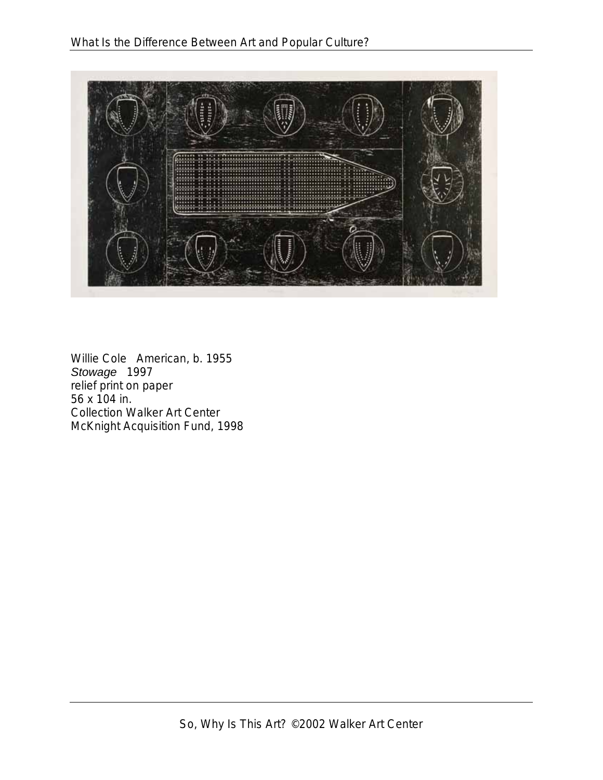

Willie Cole American, b. 1955 *Stowage* 1997 relief print on paper 56 x 104 in. Collection Walker Art Center McKnight Acquisition Fund, 1998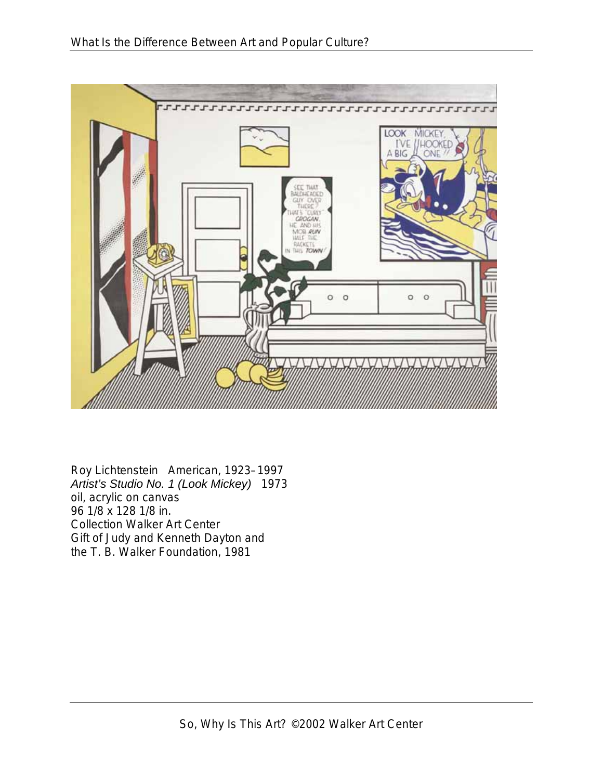

Roy Lichtenstein American, 1923–1997 *Artist's Studio No. 1 (Look Mickey)* 1973 oil, acrylic on canvas 96 1/8 x 128 1/8 in. Collection Walker Art Center Gift of Judy and Kenneth Dayton and the T. B. Walker Foundation, 1981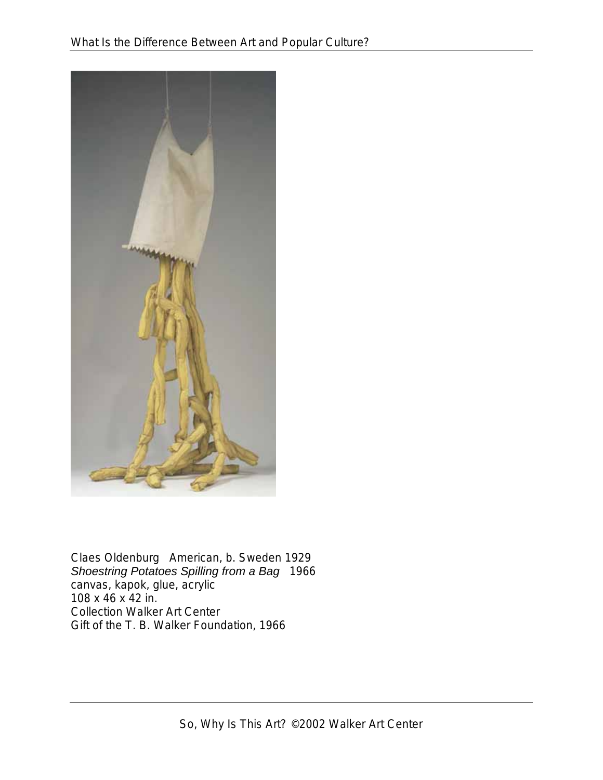

Claes Oldenburg American, b. Sweden 1929 *Shoestring Potatoes Spilling from a Bag* 1966 canvas, kapok, glue, acrylic 108 x 46 x 42 in. Collection Walker Art Center Gift of the T. B. Walker Foundation, 1966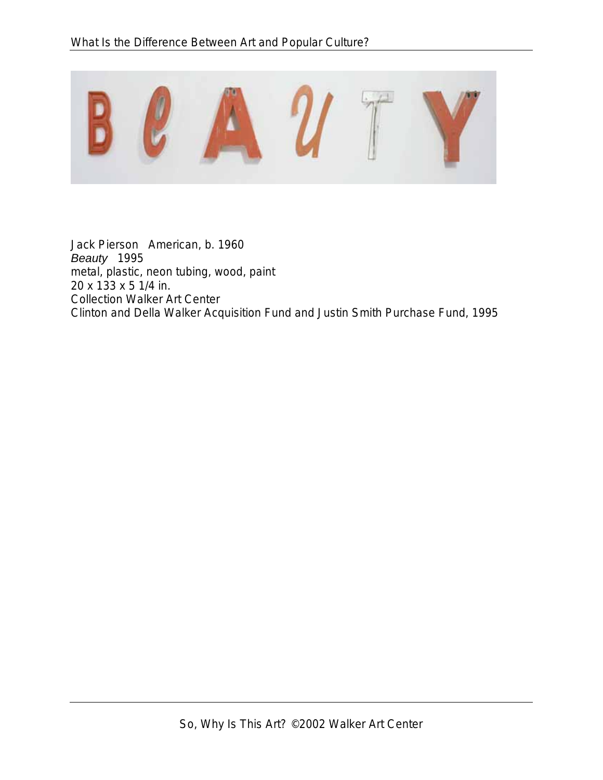

Jack Pierson American, b. 1960 *Beauty* 1995 metal, plastic, neon tubing, wood, paint 20 x 133 x 5 1/4 in. Collection Walker Art Center Clinton and Della Walker Acquisition Fund and Justin Smith Purchase Fund, 1995